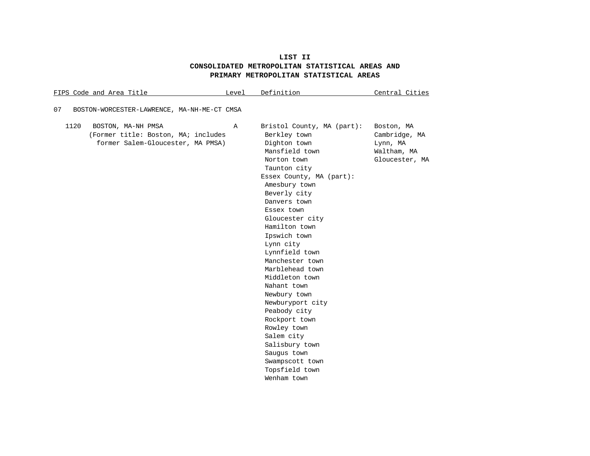# **LIST II CONSOLIDATED METROPOLITAN STATISTICAL AREAS AND PRIMARY METROPOLITAN STATISTICAL AREAS**

| FIPS Code and Area Title                                                                               | Level | Definition                                                                                                                                                                                                                                                                                                                                                                                                                                                                                                                                              | Central Cities                                                           |
|--------------------------------------------------------------------------------------------------------|-------|---------------------------------------------------------------------------------------------------------------------------------------------------------------------------------------------------------------------------------------------------------------------------------------------------------------------------------------------------------------------------------------------------------------------------------------------------------------------------------------------------------------------------------------------------------|--------------------------------------------------------------------------|
| 07<br>BOSTON-WORCESTER-LAWRENCE, MA-NH-ME-CT CMSA                                                      |       |                                                                                                                                                                                                                                                                                                                                                                                                                                                                                                                                                         |                                                                          |
| 1120<br>BOSTON, MA-NH PMSA<br>(Former title: Boston, MA; includes<br>former Salem-Gloucester, MA PMSA) | Α     | Bristol County, MA (part):<br>Berkley town<br>Dighton town<br>Mansfield town<br>Norton town<br>Taunton city<br>Essex County, MA (part):<br>Amesbury town<br>Beverly city<br>Danvers town<br>Essex town<br>Gloucester city<br>Hamilton town<br>Ipswich town<br>Lynn city<br>Lynnfield town<br>Manchester town<br>Marblehead town<br>Middleton town<br>Nahant town<br>Newbury town<br>Newburyport city<br>Peabody city<br>Rockport town<br>Rowley town<br>Salem city<br>Salisbury town<br>Saugus town<br>Swampscott town<br>Topsfield town<br>Wenham town | Boston, MA<br>Cambridge, MA<br>Lynn, MA<br>Waltham, MA<br>Gloucester, MA |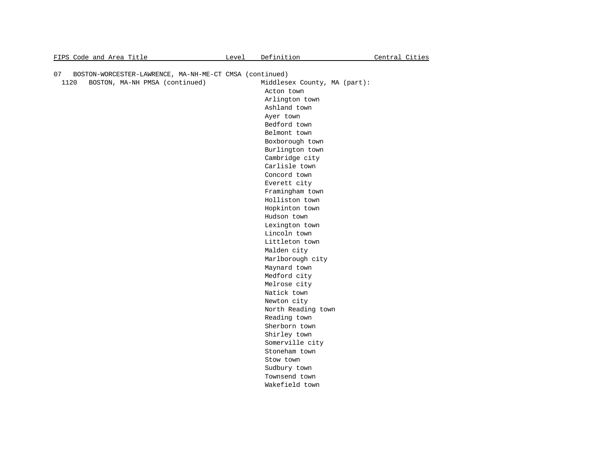| FIPS Code and Area Title                                      | Level | Definition                   | Central Cities |
|---------------------------------------------------------------|-------|------------------------------|----------------|
|                                                               |       |                              |                |
| 07<br>BOSTON-WORCESTER-LAWRENCE, MA-NH-ME-CT CMSA (continued) |       |                              |                |
| BOSTON, MA-NH PMSA (continued)<br>1120                        |       | Middlesex County, MA (part): |                |
|                                                               |       | Acton town                   |                |
|                                                               |       | Arlington town               |                |
|                                                               |       | Ashland town                 |                |
|                                                               |       | Ayer town                    |                |
|                                                               |       | Bedford town                 |                |
|                                                               |       | Belmont town                 |                |
|                                                               |       | Boxborough town              |                |
|                                                               |       | Burlington town              |                |
|                                                               |       | Cambridge city               |                |
|                                                               |       | Carlisle town                |                |
|                                                               |       | Concord town                 |                |
|                                                               |       | Everett city                 |                |
|                                                               |       | Framingham town              |                |
|                                                               |       | Holliston town               |                |
|                                                               |       | Hopkinton town               |                |
|                                                               |       | Hudson town                  |                |
|                                                               |       | Lexington town               |                |
|                                                               |       | Lincoln town                 |                |
|                                                               |       | Littleton town               |                |
|                                                               |       | Malden city                  |                |
|                                                               |       | Marlborough city             |                |
|                                                               |       | Maynard town                 |                |
|                                                               |       | Medford city                 |                |
|                                                               |       | Melrose city                 |                |
|                                                               |       | Natick town                  |                |
|                                                               |       | Newton city                  |                |
|                                                               |       | North Reading town           |                |
|                                                               |       | Reading town                 |                |
|                                                               |       | Sherborn town                |                |
|                                                               |       | Shirley town                 |                |
|                                                               |       | Somerville city              |                |
|                                                               |       | Stoneham town                |                |
|                                                               |       | Stow town                    |                |
|                                                               |       | Sudbury town                 |                |
|                                                               |       | Townsend town                |                |
|                                                               |       | Wakefield town               |                |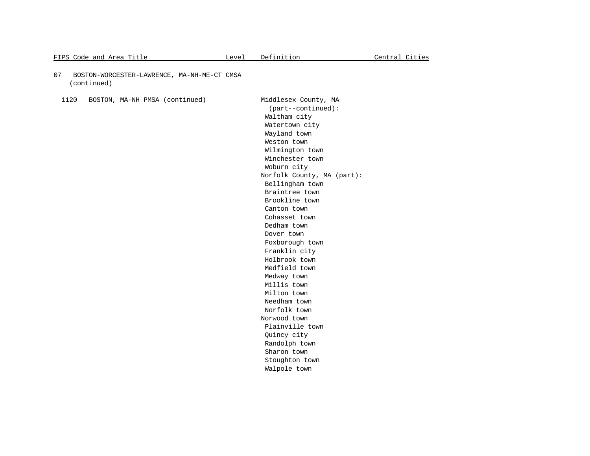- 07 BOSTON-WORCESTER-LAWRENCE, MA-NH-ME-CT CMSA (continued)
	- 1120 BOSTON, MA-NH PMSA (continued) Middlesex County, MA

 (part--continued): Waltham city Watertown city Wayland town Weston town Wilmington town Winchester town Woburn city Norfolk County, MA (part): Bellingham town Braintree town Brookline town Canton town Cohasset town Dedham town Dover town Foxborough town Franklin city Holbrook town Medfield town Medway town Millis town Milton town Needham town Norfolk town Norwood town Plainville town Quincy city Randolph town Sharon town Stoughton town Walpole town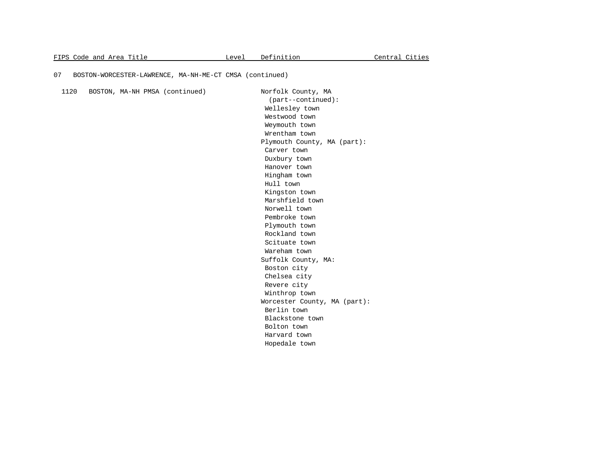#### 07 BOSTON-WORCESTER-LAWRENCE, MA-NH-ME-CT CMSA (continued)

 1120 BOSTON, MA-NH PMSA (continued) Norfolk County, MA (part--continued): Wellesley town Westwood town Weymouth town Wrentham town Plymouth County, MA (part): Carver town Duxbury town Hanover town Hingham town Hull town Kingston town Marshfield town Norwell town Pembroke town Plymouth town Rockland town Scituate town Wareham town Suffolk County, MA: Boston city Chelsea city Revere city Winthrop town Worcester County, MA (part): Berlin town Blackstone town Bolton town Harvard town Hopedale town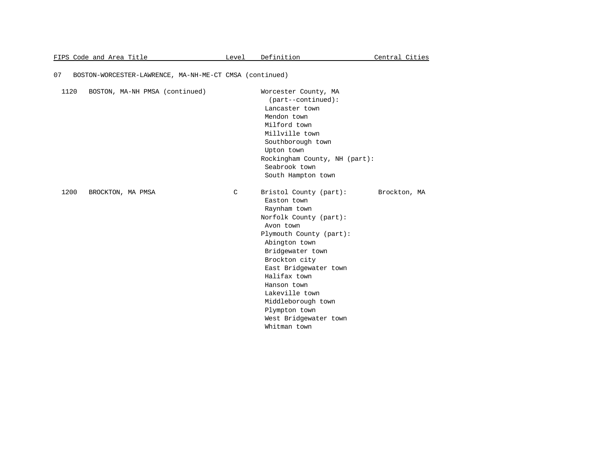## 07 BOSTON-WORCESTER-LAWRENCE, MA-NH-ME-CT CMSA (continued)

| 1120 | BOSTON, MA-NH PMSA (continued) |   | Worcester County, MA<br>$(part--continued):$<br>Lancaster town<br>Mendon town<br>Milford town<br>Millville town<br>Southborough town<br>Upton town<br>Rockingham County, NH (part):<br>Seabrook town<br>South Hampton town                                                                                                              |              |  |
|------|--------------------------------|---|-----------------------------------------------------------------------------------------------------------------------------------------------------------------------------------------------------------------------------------------------------------------------------------------------------------------------------------------|--------------|--|
| 1200 | BROCKTON, MA PMSA              | C | Bristol County (part):<br>Easton town<br>Raynham town<br>Norfolk County (part):<br>Avon town<br>Plymouth County (part):<br>Abington town<br>Bridgewater town<br>Brockton city<br>East Bridgewater town<br>Halifax town<br>Hanson town<br>Lakeville town<br>Middleborough town<br>Plympton town<br>West Bridgewater town<br>Whitman town | Brockton, MA |  |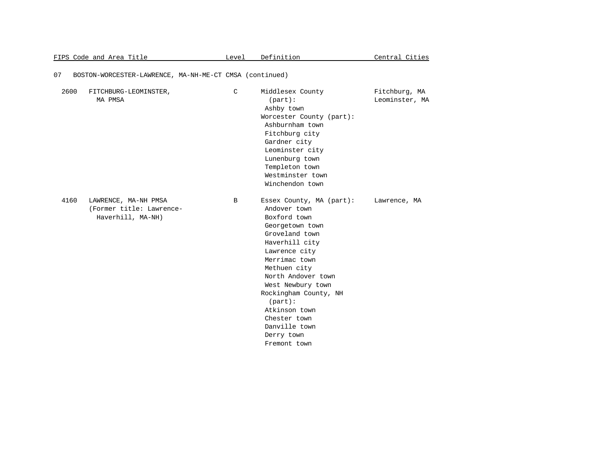|      | <u>FIPS Code and Area Title</u>                                       | Level | Definition                                                                                                                                                                                                                                                                                                                          | Central Cities                  |
|------|-----------------------------------------------------------------------|-------|-------------------------------------------------------------------------------------------------------------------------------------------------------------------------------------------------------------------------------------------------------------------------------------------------------------------------------------|---------------------------------|
| 07   | BOSTON-WORCESTER-LAWRENCE, MA-NH-ME-CT CMSA (continued)               |       |                                                                                                                                                                                                                                                                                                                                     |                                 |
| 2600 | FITCHBURG-LEOMINSTER,<br>MA PMSA                                      | C     | Middlesex County<br>$(part)$ :<br>Ashby town<br>Worcester County (part):<br>Ashburnham town<br>Fitchburg city<br>Gardner city<br>Leominster city<br>Lunenburg town<br>Templeton town<br>Westminster town<br>Winchendon town                                                                                                         | Fitchburg, MA<br>Leominster, MA |
| 4160 | LAWRENCE, MA-NH PMSA<br>(Former title: Lawrence-<br>Haverhill, MA-NH) | B     | Essex County, MA (part):<br>Andover town<br>Boxford town<br>Georgetown town<br>Groveland town<br>Haverhill city<br>Lawrence city<br>Merrimac town<br>Methuen city<br>North Andover town<br>West Newbury town<br>Rockingham County, NH<br>$(part)$ :<br>Atkinson town<br>Chester town<br>Danville town<br>Derry town<br>Fremont town | Lawrence, MA                    |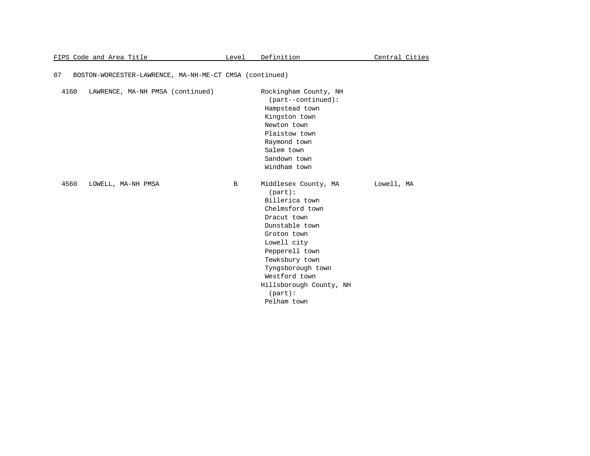|      | FIPS Code and Area Title                                | Level | Definition                                                                                                                                                                                                                                                               | Central Cities |
|------|---------------------------------------------------------|-------|--------------------------------------------------------------------------------------------------------------------------------------------------------------------------------------------------------------------------------------------------------------------------|----------------|
| 07   | BOSTON-WORCESTER-LAWRENCE, MA-NH-ME-CT CMSA (continued) |       |                                                                                                                                                                                                                                                                          |                |
| 4160 | LAWRENCE, MA-NH PMSA (continued)                        |       | Rockingham County, NH<br>(part--continued):<br>Hampstead town<br>Kingston town<br>Newton town<br>Plaistow town<br>Raymond town<br>Salem town<br>Sandown town<br>Windham town                                                                                             |                |
| 4560 | LOWELL, MA-NH PMSA                                      | B     | Middlesex County, MA<br>$(part)$ :<br>Billerica town<br>Chelmsford town<br>Dracut town<br>Dunstable town<br>Groton town<br>Lowell city<br>Pepperell town<br>Tewksbury town<br>Tyngsborough town<br>Westford town<br>Hillsborough County, NH<br>$(part)$ :<br>Pelham town | Lowell, MA     |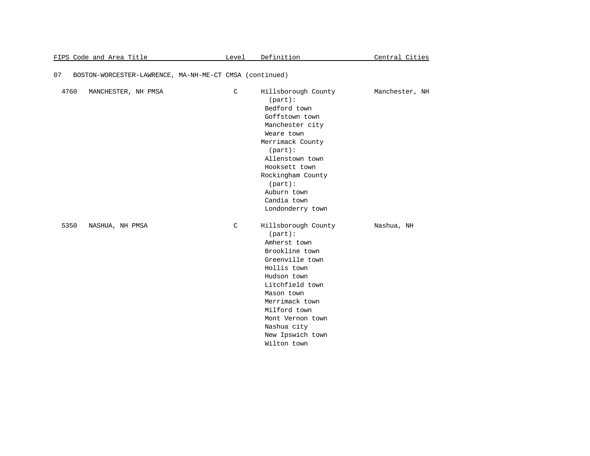|      | FIPS Code and Area Title                                | Level       | Definition                                                                                                                                                                                                                                                      | Central Cities |
|------|---------------------------------------------------------|-------------|-----------------------------------------------------------------------------------------------------------------------------------------------------------------------------------------------------------------------------------------------------------------|----------------|
| 07   | BOSTON-WORCESTER-LAWRENCE, MA-NH-ME-CT CMSA (continued) |             |                                                                                                                                                                                                                                                                 |                |
| 4760 | MANCHESTER, NH PMSA                                     | $\mathsf C$ | Hillsborough County<br>$(part)$ :<br>Bedford town<br>Goffstown town<br>Manchester city<br>Weare town<br>Merrimack County<br>$(part)$ :<br>Allenstown town<br>Hooksett town<br>Rockingham County<br>$(part)$ :<br>Auburn town<br>Candia town<br>Londonderry town | Manchester, NH |
| 5350 | NASHUA, NH PMSA                                         | C           | Hillsborough County<br>$(part)$ :<br>Amherst town<br>Brookline town<br>Greenville town<br>Hollis town<br>Hudson town<br>Litchfield town<br>Mason town<br>Merrimack town<br>Milford town<br>Mont Vernon town<br>Nashua city<br>New Ipswich town<br>Wilton town   | Nashua, NH     |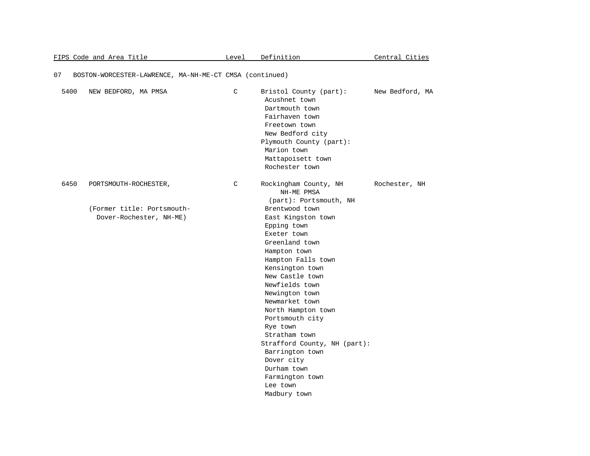|      | FIPS Code and Area Title                                                       | Level | Definition                                                                                                                                                                                                                                                                                                                                                                                                                                                                                   | <u>Central Cities</u> |
|------|--------------------------------------------------------------------------------|-------|----------------------------------------------------------------------------------------------------------------------------------------------------------------------------------------------------------------------------------------------------------------------------------------------------------------------------------------------------------------------------------------------------------------------------------------------------------------------------------------------|-----------------------|
| 07   | BOSTON-WORCESTER-LAWRENCE, MA-NH-ME-CT CMSA (continued)                        |       |                                                                                                                                                                                                                                                                                                                                                                                                                                                                                              |                       |
| 5400 | NEW BEDFORD, MA PMSA                                                           | C     | Bristol County (part):<br>Acushnet town<br>Dartmouth town<br>Fairhaven town<br>Freetown town<br>New Bedford city<br>Plymouth County (part):<br>Marion town<br>Mattapoisett town<br>Rochester town                                                                                                                                                                                                                                                                                            | New Bedford, MA       |
| 6450 | PORTSMOUTH-ROCHESTER,<br>(Former title: Portsmouth-<br>Dover-Rochester, NH-ME) | C     | Rockingham County, NH<br>NH-ME PMSA<br>(part): Portsmouth, NH<br>Brentwood town<br>East Kingston town<br>Epping town<br>Exeter town<br>Greenland town<br>Hampton town<br>Hampton Falls town<br>Kensington town<br>New Castle town<br>Newfields town<br>Newington town<br>Newmarket town<br>North Hampton town<br>Portsmouth city<br>Rye town<br>Stratham town<br>Strafford County, NH (part):<br>Barrington town<br>Dover city<br>Durham town<br>Farmington town<br>Lee town<br>Madbury town | Rochester, NH         |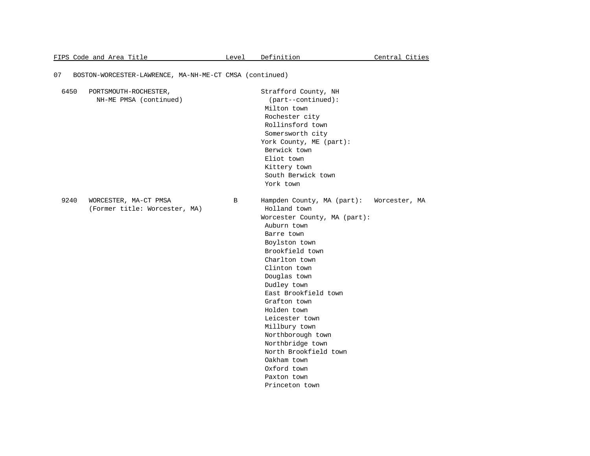### 07 BOSTON-WORCESTER-LAWRENCE, MA-NH-ME-CT CMSA (continued)

| 6450 | PORTSMOUTH-ROCHESTER,         |   | Strafford County, NH                        |
|------|-------------------------------|---|---------------------------------------------|
|      | NH-ME PMSA (continued)        |   | $(part--continued):$                        |
|      |                               |   | Milton town                                 |
|      |                               |   | Rochester city                              |
|      |                               |   | Rollinsford town                            |
|      |                               |   | Somersworth city                            |
|      |                               |   | York County, ME (part):                     |
|      |                               |   | Berwick town                                |
|      |                               |   | Eliot town                                  |
|      |                               |   | Kittery town                                |
|      |                               |   | South Berwick town                          |
|      |                               |   | York town                                   |
| 9240 | WORCESTER, MA-CT PMSA         | B | Hampden County, MA (part):<br>Worcester, MA |
|      | (Former title: Worcester, MA) |   | Holland town                                |
|      |                               |   | Worcester County, MA (part):                |
|      |                               |   | Auburn town                                 |
|      |                               |   | Barre town                                  |
|      |                               |   | Boylston town                               |
|      |                               |   | Brookfield town                             |
|      |                               |   | Charlton town                               |
|      |                               |   | Clinton town                                |
|      |                               |   | Douglas town                                |
|      |                               |   | Dudley town                                 |
|      |                               |   | East Brookfield town                        |
|      |                               |   | Grafton town                                |
|      |                               |   | Holden town                                 |
|      |                               |   | Leicester town                              |
|      |                               |   | Millbury town                               |
|      |                               |   | Northborough town                           |
|      |                               |   | Northbridge town                            |
|      |                               |   | North Brookfield town                       |
|      |                               |   | Oakham town                                 |
|      |                               |   | Oxford town                                 |
|      |                               |   | Paxton town                                 |
|      |                               |   | Princeton town                              |
|      |                               |   |                                             |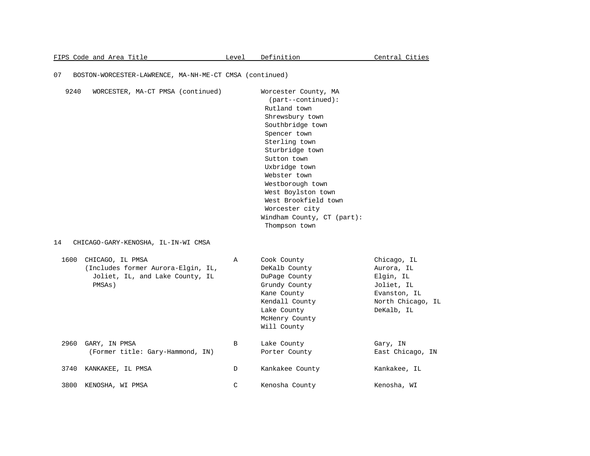# 07 BOSTON-WORCESTER-LAWRENCE, MA-NH-ME-CT CMSA (continued)

| 9240       | WORCESTER, MA-CT PMSA (continued)                                                                                                          |   | Worcester County, MA<br>$(part--continued):$<br>Rutland town<br>Shrewsbury town<br>Southbridge town<br>Spencer town<br>Sterling town<br>Sturbridge town<br>Sutton town<br>Uxbridge town<br>Webster town<br>Westborough town<br>West Boylston town<br>West Brookfield town<br>Worcester city<br>Windham County, CT (part):<br>Thompson town |                                                                                                         |
|------------|--------------------------------------------------------------------------------------------------------------------------------------------|---|--------------------------------------------------------------------------------------------------------------------------------------------------------------------------------------------------------------------------------------------------------------------------------------------------------------------------------------------|---------------------------------------------------------------------------------------------------------|
| 14<br>1600 | CHICAGO-GARY-KENOSHA, IL-IN-WI CMSA<br>CHICAGO, IL PMSA<br>(Includes former Aurora-Elgin, IL,<br>Joliet, IL, and Lake County, IL<br>PMSAs) | Α | Cook County<br>DeKalb County<br>DuPage County<br>Grundy County<br>Kane County<br>Kendall County<br>Lake County<br>McHenry County<br>Will County                                                                                                                                                                                            | Chicago, IL<br>Aurora, IL<br>Elgin, IL<br>Joliet, IL<br>Evanston, IL<br>North Chicago, IL<br>DeKalb, IL |
| 2960       | GARY, IN PMSA<br>(Former title: Gary-Hammond, IN)                                                                                          | B | Lake County<br>Porter County                                                                                                                                                                                                                                                                                                               | Gary, IN<br>East Chicago, IN                                                                            |
| 3740       | KANKAKEE, IL PMSA                                                                                                                          | D | Kankakee County                                                                                                                                                                                                                                                                                                                            | Kankakee, IL                                                                                            |
| 3800       | KENOSHA, WI PMSA                                                                                                                           | C | Kenosha County                                                                                                                                                                                                                                                                                                                             | Kenosha, WI                                                                                             |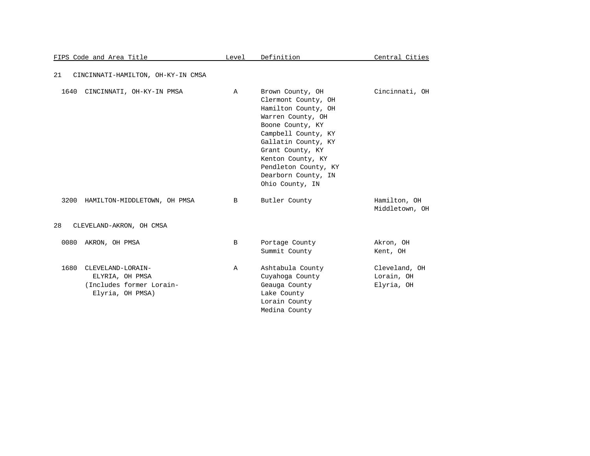| <u>FIPS Code and Area Title</u>                                                              | Level | Definition                                                                                                                                                                                                                                                       | Central Cities                            |
|----------------------------------------------------------------------------------------------|-------|------------------------------------------------------------------------------------------------------------------------------------------------------------------------------------------------------------------------------------------------------------------|-------------------------------------------|
| 21<br>CINCINNATI-HAMILTON, OH-KY-IN CMSA                                                     |       |                                                                                                                                                                                                                                                                  |                                           |
| 1640<br>CINCINNATI, OH-KY-IN PMSA                                                            | Α     | Brown County, OH<br>Clermont County, OH<br>Hamilton County, OH<br>Warren County, OH<br>Boone County, KY<br>Campbell County, KY<br>Gallatin County, KY<br>Grant County, KY<br>Kenton County, KY<br>Pendleton County, KY<br>Dearborn County, IN<br>Ohio County, IN | Cincinnati, OH                            |
| 3200<br>HAMILTON-MIDDLETOWN, OH PMSA                                                         | B     | Butler County                                                                                                                                                                                                                                                    | Hamilton, OH<br>Middletown, OH            |
| 28<br>CLEVELAND-AKRON, OH CMSA                                                               |       |                                                                                                                                                                                                                                                                  |                                           |
| 0080<br>AKRON, OH PMSA                                                                       | B     | Portage County<br>Summit County                                                                                                                                                                                                                                  | Akron, OH<br>Kent, OH                     |
| 1680<br>CLEVELAND-LORAIN-<br>ELYRIA, OH PMSA<br>(Includes former Lorain-<br>Elyria, OH PMSA) | Α     | Ashtabula County<br>Cuyahoga County<br>Geauga County<br>Lake County<br>Lorain County<br>Medina County                                                                                                                                                            | Cleveland, OH<br>Lorain, OH<br>Elyria, OH |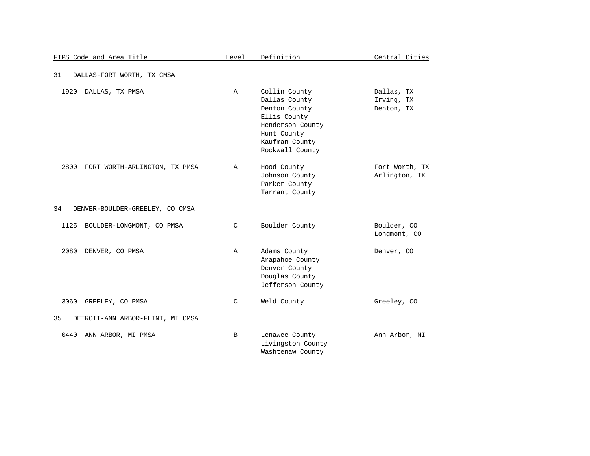| FIPS Code and Area Title               | Level         | Definition                                                                                                                              | Central Cities                         |
|----------------------------------------|---------------|-----------------------------------------------------------------------------------------------------------------------------------------|----------------------------------------|
| 31<br>DALLAS-FORT WORTH, TX CMSA       |               |                                                                                                                                         |                                        |
| 1920<br>DALLAS, TX PMSA                | $\mathbb{A}$  | Collin County<br>Dallas County<br>Denton County<br>Ellis County<br>Henderson County<br>Hunt County<br>Kaufman County<br>Rockwall County | Dallas, TX<br>Irving, TX<br>Denton, TX |
| 2800<br>FORT WORTH-ARLINGTON, TX PMSA  | Α             | Hood County<br>Johnson County<br>Parker County<br>Tarrant County                                                                        | Fort Worth, TX<br>Arlington, TX        |
| 34<br>DENVER-BOULDER-GREELEY, CO CMSA  |               |                                                                                                                                         |                                        |
| 1125<br>BOULDER-LONGMONT, CO PMSA      | $\mathcal{C}$ | Boulder County                                                                                                                          | Boulder, CO<br>Longmont, CO            |
| 2080<br>DENVER, CO PMSA                | Α             | Adams County<br>Arapahoe County<br>Denver County<br>Douglas County<br>Jefferson County                                                  | Denver, CO                             |
| 3060<br>GREELEY, CO PMSA               | C             | Weld County                                                                                                                             | Greeley, CO                            |
| 35<br>DETROIT-ANN ARBOR-FLINT, MI CMSA |               |                                                                                                                                         |                                        |
| 0440<br>ANN ARBOR, MI PMSA             | B             | Lenawee County<br>Livingston County<br>Washtenaw County                                                                                 | Ann Arbor, MI                          |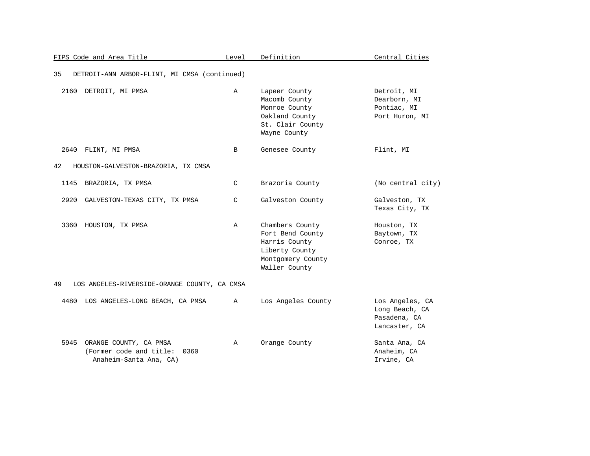| FIPS Code and Area Title                                                                 | Level        | Definition                                                                                                   | Central Cities                                                     |
|------------------------------------------------------------------------------------------|--------------|--------------------------------------------------------------------------------------------------------------|--------------------------------------------------------------------|
| 35<br>DETROIT-ANN ARBOR-FLINT, MI CMSA (continued)                                       |              |                                                                                                              |                                                                    |
| 2160<br>DETROIT, MI PMSA                                                                 | Α            | Lapeer County<br>Macomb County<br>Monroe County<br>Oakland County<br>St. Clair County<br>Wayne County        | Detroit, MI<br>Dearborn, MI<br>Pontiac, MI<br>Port Huron, MI       |
| 2640 FLINT, MI PMSA                                                                      | B            | Genesee County                                                                                               | Flint, MI                                                          |
| 42<br>HOUSTON-GALVESTON-BRAZORIA, TX CMSA                                                |              |                                                                                                              |                                                                    |
| 1145<br>BRAZORIA, TX PMSA                                                                | C            | Brazoria County                                                                                              | (No central city)                                                  |
| 2920<br>GALVESTON-TEXAS CITY, TX PMSA                                                    | C            | Galveston County                                                                                             | Galveston, TX<br>Texas City, TX                                    |
| 3360 HOUSTON, TX PMSA                                                                    | $\mathbb{A}$ | Chambers County<br>Fort Bend County<br>Harris County<br>Liberty County<br>Montgomery County<br>Waller County | Houston, TX<br>Baytown, TX<br>Conroe, TX                           |
| 49<br>LOS ANGELES-RIVERSIDE-ORANGE COUNTY, CA CMSA                                       |              |                                                                                                              |                                                                    |
| 4480<br>LOS ANGELES-LONG BEACH, CA PMSA                                                  | A            | Los Angeles County                                                                                           | Los Angeles, CA<br>Long Beach, CA<br>Pasadena, CA<br>Lancaster, CA |
| ORANGE COUNTY, CA PMSA<br>5945<br>(Former code and title: 0360<br>Anaheim-Santa Ana, CA) | A            | Orange County                                                                                                | Santa Ana, CA<br>Anaheim, CA<br>Irvine, CA                         |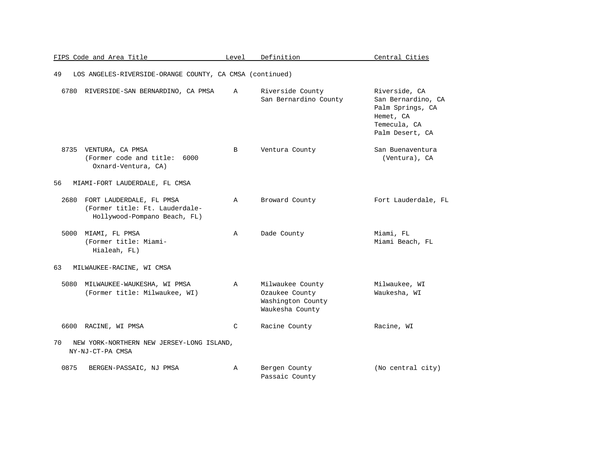|      | FIPS Code and Area Title                                                                   | Level        | Definition                                                                 | Central Cities                                                                                          |
|------|--------------------------------------------------------------------------------------------|--------------|----------------------------------------------------------------------------|---------------------------------------------------------------------------------------------------------|
| 49   | LOS ANGELES-RIVERSIDE-ORANGE COUNTY, CA CMSA (continued)                                   |              |                                                                            |                                                                                                         |
| 6780 | RIVERSIDE-SAN BERNARDINO, CA PMSA                                                          | $\mathbb{A}$ | Riverside County<br>San Bernardino County                                  | Riverside, CA<br>San Bernardino, CA<br>Palm Springs, CA<br>Hemet, CA<br>Temecula, CA<br>Palm Desert, CA |
|      | 8735 VENTURA, CA PMSA<br>(Former code and title:<br>6000<br>Oxnard-Ventura, CA)            | B            | Ventura County                                                             | San Buenaventura<br>(Ventura), CA                                                                       |
| 56   | MIAMI-FORT LAUDERDALE, FL CMSA                                                             |              |                                                                            |                                                                                                         |
| 2680 | FORT LAUDERDALE, FL PMSA<br>(Former title: Ft. Lauderdale-<br>Hollywood-Pompano Beach, FL) | $\mathbb A$  | Broward County                                                             | Fort Lauderdale, FL                                                                                     |
| 5000 | MIAMI, FL PMSA<br>(Former title: Miami-<br>Hialeah, FL)                                    | $\mathbb{A}$ | Dade County                                                                | Miami, FL<br>Miami Beach, FL                                                                            |
| 63   | MILWAUKEE-RACINE, WI CMSA                                                                  |              |                                                                            |                                                                                                         |
| 5080 | MILWAUKEE-WAUKESHA, WI PMSA<br>(Former title: Milwaukee, WI)                               | $\mathbb{A}$ | Milwaukee County<br>Ozaukee County<br>Washington County<br>Waukesha County | Milwaukee, WI<br>Waukesha, WI                                                                           |
|      | 6600 RACINE, WI PMSA                                                                       | C            | Racine County                                                              | Racine, WI                                                                                              |
| 70   | NEW YORK-NORTHERN NEW JERSEY-LONG ISLAND,<br>NY-NJ-CT-PA CMSA                              |              |                                                                            |                                                                                                         |
| 0875 | BERGEN-PASSAIC, NJ PMSA                                                                    | Α            | Bergen County<br>Passaic County                                            | (No central city)                                                                                       |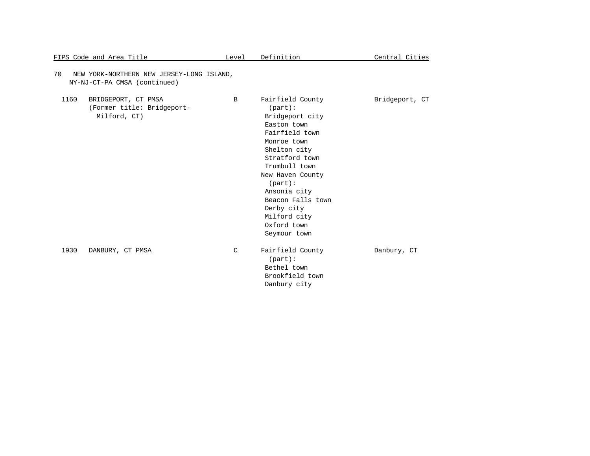|      | FIPS Code and Area Title                                                  | Level         | Definition                                                                                                                                                                                                                                                                               | Central Cities |
|------|---------------------------------------------------------------------------|---------------|------------------------------------------------------------------------------------------------------------------------------------------------------------------------------------------------------------------------------------------------------------------------------------------|----------------|
| 70   | NEW YORK-NORTHERN NEW JERSEY-LONG ISLAND,<br>NY-NJ-CT-PA CMSA (continued) |               |                                                                                                                                                                                                                                                                                          |                |
| 1160 | BRIDGEPORT, CT PMSA<br>(Former title: Bridgeport-<br>Milford, CT)         | $\mathbf{B}$  | Fairfield County<br>$(part)$ :<br>Bridgeport city<br>Easton town<br>Fairfield town<br>Monroe town<br>Shelton city<br>Stratford town<br>Trumbull town<br>New Haven County<br>$(part)$ :<br>Ansonia city<br>Beacon Falls town<br>Derby city<br>Milford city<br>Oxford town<br>Seymour town | Bridgeport, CT |
| 1930 | DANBURY, CT PMSA                                                          | $\mathcal{C}$ | Fairfield County<br>$(part)$ :<br>Bethel town<br>Brookfield town<br>Danbury city                                                                                                                                                                                                         | Danbury, CT    |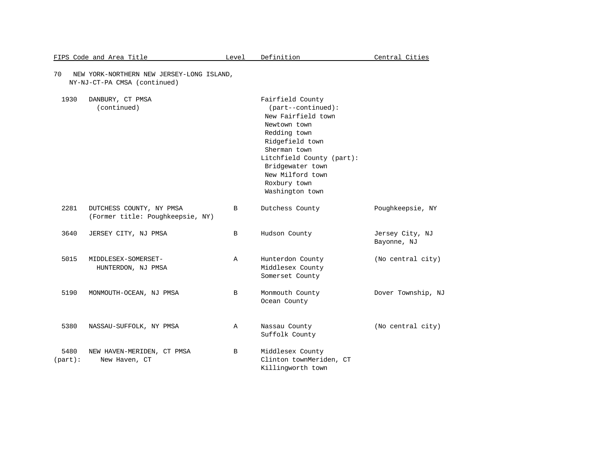|                    | FIPS Code and Area Title                                                  | Level        | Definition                                                                                                                                                                                                                                | Central Cities                 |
|--------------------|---------------------------------------------------------------------------|--------------|-------------------------------------------------------------------------------------------------------------------------------------------------------------------------------------------------------------------------------------------|--------------------------------|
| 70                 | NEW YORK-NORTHERN NEW JERSEY-LONG ISLAND,<br>NY-NJ-CT-PA CMSA (continued) |              |                                                                                                                                                                                                                                           |                                |
| 1930               | DANBURY, CT PMSA<br>(continued)                                           |              | Fairfield County<br>$(part--continued):$<br>New Fairfield town<br>Newtown town<br>Redding town<br>Ridgefield town<br>Sherman town<br>Litchfield County (part):<br>Bridgewater town<br>New Milford town<br>Roxbury town<br>Washington town |                                |
| 2281               | DUTCHESS COUNTY, NY PMSA<br>(Former title: Poughkeepsie, NY)              | B            | Dutchess County                                                                                                                                                                                                                           | Poughkeepsie, NY               |
| 3640               | JERSEY CITY, NJ PMSA                                                      | B            | Hudson County                                                                                                                                                                                                                             | Jersey City, NJ<br>Bayonne, NJ |
| 5015               | MIDDLESEX-SOMERSET-<br>HUNTERDON, NJ PMSA                                 | Α            | Hunterdon County<br>Middlesex County<br>Somerset County                                                                                                                                                                                   | (No central city)              |
| 5190               | MONMOUTH-OCEAN, NJ PMSA                                                   | B            | Monmouth County<br>Ocean County                                                                                                                                                                                                           | Dover Township, NJ             |
| 5380               | NASSAU-SUFFOLK, NY PMSA                                                   | $\mathbb{A}$ | Nassau County<br>Suffolk County                                                                                                                                                                                                           | (No central city)              |
| 5480<br>$(part)$ : | NEW HAVEN-MERIDEN, CT PMSA<br>New Haven, CT                               | B            | Middlesex County<br>Clinton townMeriden, CT<br>Killingworth town                                                                                                                                                                          |                                |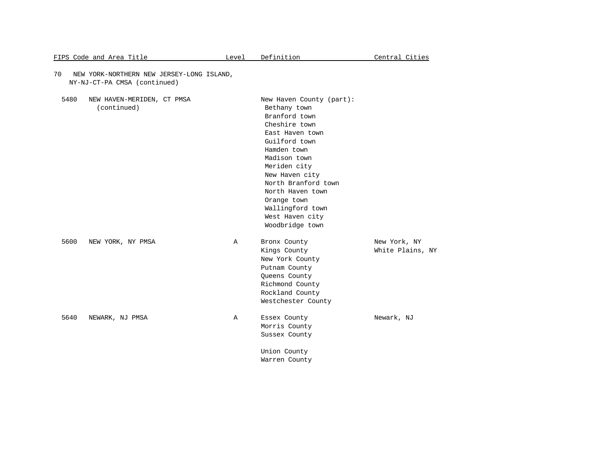| 70   | NEW YORK-NORTHERN NEW JERSEY-LONG ISLAND,<br>NY-NJ-CT-PA CMSA (continued) |   |                                                                                                                                                                                                                                                                                                     |                                  |
|------|---------------------------------------------------------------------------|---|-----------------------------------------------------------------------------------------------------------------------------------------------------------------------------------------------------------------------------------------------------------------------------------------------------|----------------------------------|
| 5480 | NEW HAVEN-MERIDEN, CT PMSA<br>(continued)                                 |   | New Haven County (part):<br>Bethany town<br>Branford town<br>Cheshire town<br>East Haven town<br>Guilford town<br>Hamden town<br>Madison town<br>Meriden city<br>New Haven city<br>North Branford town<br>North Haven town<br>Orange town<br>Wallingford town<br>West Haven city<br>Woodbridge town |                                  |
| 5600 | NEW YORK, NY PMSA                                                         | Α | Bronx County<br>Kings County<br>New York County<br>Putnam County<br>Queens County<br>Richmond County<br>Rockland County<br>Westchester County                                                                                                                                                       | New York, NY<br>White Plains, NY |
| 5640 | NEWARK, NJ PMSA                                                           | Α | Essex County<br>Morris County<br>Sussex County<br>Union County<br>Warren County                                                                                                                                                                                                                     | Newark, NJ                       |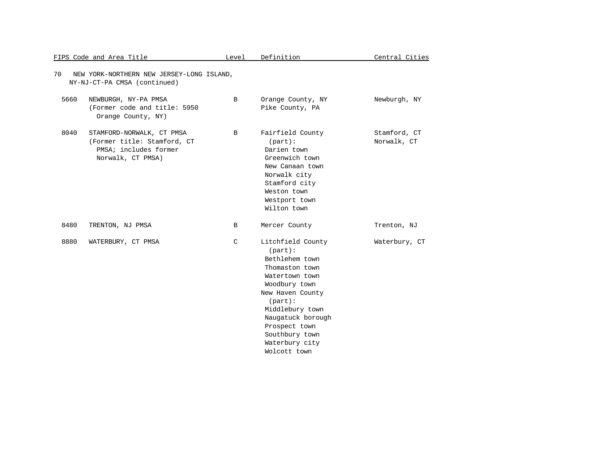|      | FIPS Code and Area Title                                                                               | Level | Definition                                                                                                                                                                                                                                            | Central Cities              |
|------|--------------------------------------------------------------------------------------------------------|-------|-------------------------------------------------------------------------------------------------------------------------------------------------------------------------------------------------------------------------------------------------------|-----------------------------|
| 70   | NEW YORK-NORTHERN NEW JERSEY-LONG ISLAND,<br>NY-NJ-CT-PA CMSA (continued)                              |       |                                                                                                                                                                                                                                                       |                             |
| 5660 | NEWBURGH, NY-PA PMSA<br>(Former code and title: 5950<br>Orange County, NY)                             | B     | Orange County, NY<br>Pike County, PA                                                                                                                                                                                                                  | Newburgh, NY                |
| 8040 | STAMFORD-NORWALK, CT PMSA<br>(Former title: Stamford, CT<br>PMSA; includes former<br>Norwalk, CT PMSA) | B     | Fairfield County<br>$(part)$ :<br>Darien town<br>Greenwich town<br>New Canaan town<br>Norwalk city<br>Stamford city<br>Weston town<br>Westport town<br>Wilton town                                                                                    | Stamford, CT<br>Norwalk, CT |
| 8480 | TRENTON, NJ PMSA                                                                                       | B     | Mercer County                                                                                                                                                                                                                                         | Trenton, NJ                 |
| 8880 | WATERBURY, CT PMSA                                                                                     | C     | Litchfield County<br>$(part)$ :<br>Bethlehem town<br>Thomaston town<br>Watertown town<br>Woodbury town<br>New Haven County<br>$(part)$ :<br>Middlebury town<br>Naugatuck borough<br>Prospect town<br>Southbury town<br>Waterbury city<br>Wolcott town | Waterbury, CT               |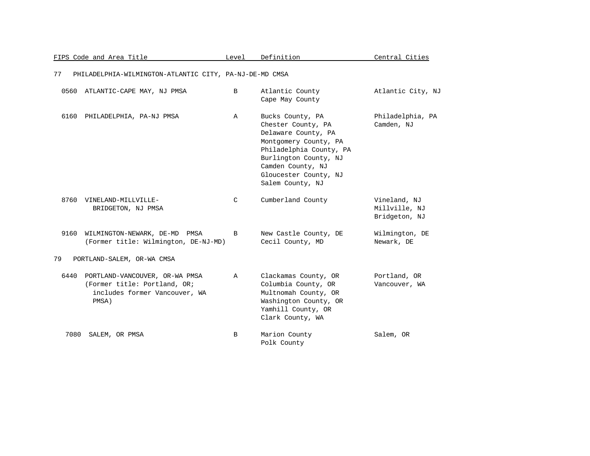|      | FIPS Code and Area Title                                                                                 | Level        | Definition                                                                                                                                                                                                   | Central Cities                                 |
|------|----------------------------------------------------------------------------------------------------------|--------------|--------------------------------------------------------------------------------------------------------------------------------------------------------------------------------------------------------------|------------------------------------------------|
| 77   | PHILADELPHIA-WILMINGTON-ATLANTIC CITY, PA-NJ-DE-MD CMSA                                                  |              |                                                                                                                                                                                                              |                                                |
|      | 0560 ATLANTIC-CAPE MAY, NJ PMSA                                                                          | B            | Atlantic County<br>Cape May County                                                                                                                                                                           | Atlantic City, NJ                              |
| 6160 | PHILADELPHIA, PA-NJ PMSA                                                                                 | Α            | Bucks County, PA<br>Chester County, PA<br>Delaware County, PA<br>Montgomery County, PA<br>Philadelphia County, PA<br>Burlington County, NJ<br>Camden County, NJ<br>Gloucester County, NJ<br>Salem County, NJ | Philadelphia, PA<br>Camden, NJ                 |
| 8760 | VINELAND-MILLVILLE-<br>BRIDGETON, NJ PMSA                                                                | C            | Cumberland County                                                                                                                                                                                            | Vineland, NJ<br>Millville, NJ<br>Bridgeton, NJ |
| 9160 | WILMINGTON-NEWARK, DE-MD PMSA<br>(Former title: Wilmington, DE-NJ-MD)                                    | B            | New Castle County, DE<br>Cecil County, MD                                                                                                                                                                    | Wilmington, DE<br>Newark, DE                   |
| 79   | PORTLAND-SALEM, OR-WA CMSA                                                                               |              |                                                                                                                                                                                                              |                                                |
| 6440 | PORTLAND-VANCOUVER, OR-WA PMSA<br>(Former title: Portland, OR;<br>includes former Vancouver, WA<br>PMSA) | $\mathbb{A}$ | Clackamas County, OR<br>Columbia County, OR<br>Multnomah County, OR<br>Washington County, OR<br>Yamhill County, OR<br>Clark County, WA                                                                       | Portland, OR<br>Vancouver, WA                  |
| 7080 | SALEM, OR PMSA                                                                                           | B            | Marion County<br>Polk County                                                                                                                                                                                 | Salem, OR                                      |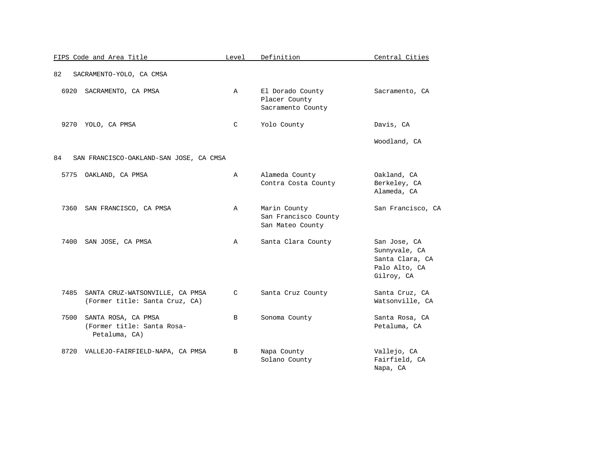|      | FIPS Code and Area Title                                           | Level         | Definition                                               | Central Cities                                                                  |
|------|--------------------------------------------------------------------|---------------|----------------------------------------------------------|---------------------------------------------------------------------------------|
| 82   | SACRAMENTO-YOLO, CA CMSA                                           |               |                                                          |                                                                                 |
| 6920 | SACRAMENTO, CA PMSA                                                | $\mathbb{A}$  | El Dorado County<br>Placer County<br>Sacramento County   | Sacramento, CA                                                                  |
| 9270 | YOLO, CA PMSA                                                      | $\mathcal{C}$ | Yolo County                                              | Davis, CA                                                                       |
|      |                                                                    |               |                                                          | Woodland, CA                                                                    |
| 84   | SAN FRANCISCO-OAKLAND-SAN JOSE, CA CMSA                            |               |                                                          |                                                                                 |
| 5775 | OAKLAND, CA PMSA                                                   | Α             | Alameda County<br>Contra Costa County                    | Oakland, CA<br>Berkeley, CA<br>Alameda, CA                                      |
| 7360 | SAN FRANCISCO, CA PMSA                                             | Α             | Marin County<br>San Francisco County<br>San Mateo County | San Francisco, CA                                                               |
| 7400 | SAN JOSE, CA PMSA                                                  | Α             | Santa Clara County                                       | San Jose, CA<br>Sunnyvale, CA<br>Santa Clara, CA<br>Palo Alto, CA<br>Gilroy, CA |
| 7485 | SANTA CRUZ-WATSONVILLE, CA PMSA<br>(Former title: Santa Cruz, CA)  | C             | Santa Cruz County                                        | Santa Cruz, CA<br>Watsonville, CA                                               |
| 7500 | SANTA ROSA, CA PMSA<br>(Former title: Santa Rosa-<br>Petaluma, CA) | B             | Sonoma County                                            | Santa Rosa, CA<br>Petaluma, CA                                                  |
| 8720 | VALLEJO-FAIRFIELD-NAPA, CA PMSA                                    | B             | Napa County<br>Solano County                             | Vallejo, CA<br>Fairfield, CA<br>Napa, CA                                        |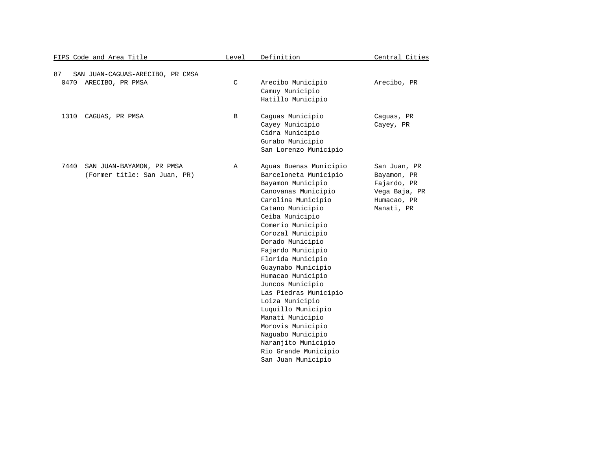| FIPS Code and Area Title |                                                           | Level       | Definition                                                                                                                                                                                                                                                                                                                                                                                                                                                                                                                           | Central Cities                                                                           |
|--------------------------|-----------------------------------------------------------|-------------|--------------------------------------------------------------------------------------------------------------------------------------------------------------------------------------------------------------------------------------------------------------------------------------------------------------------------------------------------------------------------------------------------------------------------------------------------------------------------------------------------------------------------------------|------------------------------------------------------------------------------------------|
| 87<br>0470               | SAN JUAN-CAGUAS-ARECIBO, PR CMSA<br>ARECIBO, PR PMSA      | $\mathsf C$ | Arecibo Municipio<br>Camuy Municipio<br>Hatillo Municipio                                                                                                                                                                                                                                                                                                                                                                                                                                                                            | Arecibo, PR                                                                              |
| 1310                     | CAGUAS, PR PMSA                                           | B           | Caguas Municipio<br>Cayey Municipio<br>Cidra Municipio<br>Gurabo Municipio<br>San Lorenzo Municipio                                                                                                                                                                                                                                                                                                                                                                                                                                  | Caguas, PR<br>Cayey, PR                                                                  |
| 7440                     | SAN JUAN-BAYAMON, PR PMSA<br>(Former title: San Juan, PR) | Α           | Aguas Buenas Municipio<br>Barceloneta Municipio<br>Bayamon Municipio<br>Canovanas Municipio<br>Carolina Municipio<br>Catano Municipio<br>Ceiba Municipio<br>Comerio Municipio<br>Corozal Municipio<br>Dorado Municipio<br>Fajardo Municipio<br>Florida Municipio<br>Guaynabo Municipio<br>Humacao Municipio<br>Juncos Municipio<br>Las Piedras Municipio<br>Loiza Municipio<br>Luquillo Municipio<br>Manati Municipio<br>Morovis Municipio<br>Naguabo Municipio<br>Naranjito Municipio<br>Rio Grande Municipio<br>San Juan Municipio | San Juan, PR<br>Bayamon, PR<br>Fajardo, PR<br>Vega Baja, PR<br>Humacao, PR<br>Manati, PR |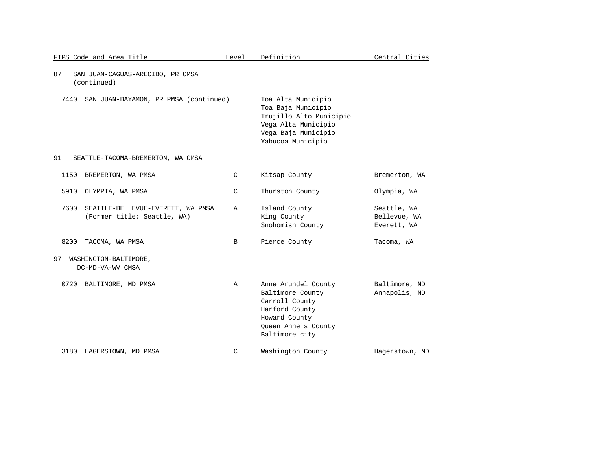| FIPS Code and Area Title                                                 | Level         | Definition                                                                                                                             | Central Cities                             |
|--------------------------------------------------------------------------|---------------|----------------------------------------------------------------------------------------------------------------------------------------|--------------------------------------------|
| 87<br>SAN JUAN-CAGUAS-ARECIBO, PR CMSA<br>(continued)                    |               |                                                                                                                                        |                                            |
| 7440<br>SAN JUAN-BAYAMON, PR PMSA (continued)                            |               | Toa Alta Municipio<br>Toa Baja Municipio<br>Trujillo Alto Municipio<br>Vega Alta Municipio<br>Vega Baja Municipio<br>Yabucoa Municipio |                                            |
| 91<br>SEATTLE-TACOMA-BREMERTON, WA CMSA                                  |               |                                                                                                                                        |                                            |
| 1150<br>BREMERTON, WA PMSA                                               | $\mathcal{C}$ | Kitsap County                                                                                                                          | Bremerton, WA                              |
| 5910<br>OLYMPIA, WA PMSA                                                 | $\mathcal{C}$ | Thurston County                                                                                                                        | Olympia, WA                                |
| 7600<br>SEATTLE-BELLEVUE-EVERETT, WA PMSA<br>(Former title: Seattle, WA) | Α             | Island County<br>King County<br>Snohomish County                                                                                       | Seattle, WA<br>Bellevue, WA<br>Everett, WA |
| 8200<br>TACOMA, WA PMSA                                                  | B             | Pierce County                                                                                                                          | Tacoma, WA                                 |
| 97<br>WASHINGTON-BALTIMORE,<br>DC-MD-VA-WV CMSA                          |               |                                                                                                                                        |                                            |
| 0720<br>BALTIMORE, MD PMSA                                               | $\mathbb{A}$  | Anne Arundel County<br>Baltimore County<br>Carroll County<br>Harford County<br>Howard County<br>Queen Anne's County<br>Baltimore city  | Baltimore, MD<br>Annapolis, MD             |
| 3180<br>HAGERSTOWN, MD PMSA                                              | C             | Washington County                                                                                                                      | Hagerstown, MD                             |